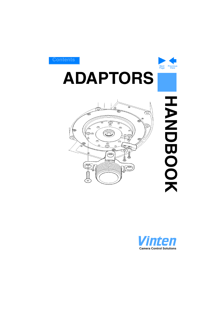

# <span id="page-0-1"></span><span id="page-0-0"></span>**ADAPTORS**



**HANNOBOOK HANDBOOK**

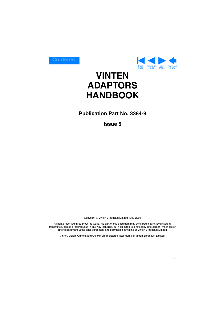

# <span id="page-1-0"></span>**VINTEN ADAPTORS HANDBOOK**

# **Publication Part No. 3384-9**

**Issue 5**

Copyright © Vinten Broadcast Limited 1999-2004

All rights reserved throughout the world. No part of this document may be stored in a retrieval system, transmitted, copied or reproduced in any way including, but not limited to, photocopy, photograph, magnetic or other record without the prior agreement and permission in writing of Vinten Broadcast Limited.

Vinten, Vision, Quickfix and Quickfit are registered trademarks of Vinten Broadcast Limited.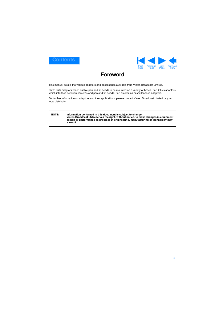<span id="page-2-0"></span>



# **Foreword**

<span id="page-2-1"></span>This manual details the various adaptors and accessories available from Vinten Broadcast Limited.

Part 1 lists adaptors which enable pan and tilt heads to be mounted on a variety of bases. Part 2 lists adaptors which interface between cameras and pan and tilt heads. Part 3 contains miscellaneous adaptors.

For further information on adaptors and their applications, please contact Vinten Broadcast Limited or your local distributor.

#### **NOTE: Information contained in this document is subject to change. Vinten Broadcast Ltd reserves the right, without notice, to make changes in equipment design or performance as progress in engineering, manufacturing or technology may warrant.**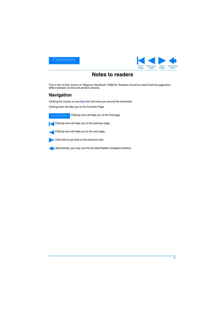<span id="page-3-0"></span>



# **Notes to readers**

<span id="page-3-1"></span>This is the on-line version of 'Adaptors Handbook' (3384-9). Readers should be aware that the pagination differs between on-line and printed versions.

# **Navigation**

Clicking the mouse on any blue text will move you around the document.

Clicking here will take you to the Contents Page.



Clicking here will take you to the first page.



Clicking here will take you to the previous page.

Clicking here will take you to the next page.

Click here to go back to the previous view.

Alternatively, you may use the Acrobat Reader navigation buttons.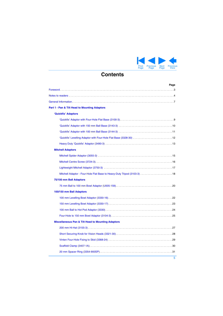

# **Contents**

<span id="page-4-1"></span><span id="page-4-0"></span>

| Page                                                                    |
|-------------------------------------------------------------------------|
|                                                                         |
|                                                                         |
|                                                                         |
| Part 1 - Pan & Tilt Head to Mounting Adaptors                           |
| 'Quickfix' Adaptors                                                     |
|                                                                         |
|                                                                         |
|                                                                         |
| 'Quickfix' Levelling Adaptor with Four-Hole Flat Base (3328-30)  12     |
|                                                                         |
| <b>Mitchell Adaptors</b>                                                |
|                                                                         |
|                                                                         |
|                                                                         |
| Mitchell Adaptor - Four-Hole Flat Base to Heavy-Duty Tripod (3103-3) 18 |
| 75/100 mm Ball Adaptors                                                 |
|                                                                         |
| 100/150 mm Ball Adaptors                                                |
|                                                                         |
|                                                                         |
|                                                                         |
|                                                                         |
| <b>Miscellaneous Pan &amp; Tilt Head to Mounting Adaptors</b>           |
|                                                                         |
|                                                                         |
|                                                                         |
|                                                                         |
|                                                                         |
|                                                                         |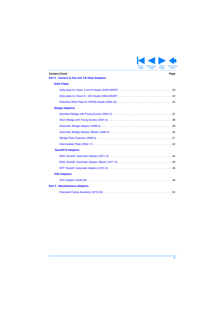

<span id="page-5-0"></span>

|                                                                 | г аче | raye | r ayu | <b>VIC VY</b> |
|-----------------------------------------------------------------|-------|------|-------|---------------|
| Content (Cont)<br>Part 2 - Camera to Pan and Tilt Head Adaptors |       |      |       | Page          |
| <b>Slide Plates</b>                                             |       |      |       |               |
|                                                                 |       |      |       |               |
|                                                                 |       |      |       |               |
|                                                                 |       |      |       |               |
| <b>Wedge Adaptors</b>                                           |       |      |       |               |
|                                                                 |       |      |       |               |
|                                                                 |       |      |       |               |
|                                                                 |       |      |       |               |
|                                                                 |       |      |       |               |
|                                                                 |       |      |       |               |
|                                                                 |       |      |       |               |
| 'Quickfit'® Adaptors                                            |       |      |       |               |
|                                                                 |       |      |       |               |
|                                                                 |       |      |       |               |
|                                                                 |       |      |       |               |
| <b>VHS Adaptors</b>                                             |       |      |       |               |

# [VHS Adaptor \(3330-29\) . . . . . . . . . . . . . . . . . . . . . . . . . . . . . . . . . . . . . . . . . . . . . . . . . . . . . . . . . . 48](#page-47-0)

### **[Part 3 - Miscellaneous Adaptors](#page-48-0)**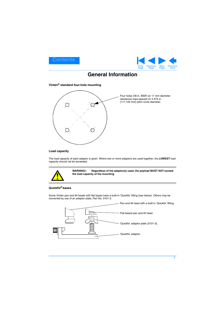<span id="page-6-1"></span>



# **General Information**

<span id="page-6-0"></span>**Vinten® standard four-hole mounting**



<span id="page-6-2"></span>Four holes 3/8 in. BSW (or 11 mm diameter clearance) equi-spaced on 4.375 in. (111.125 mm) pitch circle diameter.

### **Load capacity**

The load capacity of each adaptor is given. Where two or more adaptors are used together, the **LOWEST** load capacity should not be exceeded.



**WARNING!: Regardless of the adaptor(s) used, the payload MUST NOT exceed the load capacity of the mounting.**

### **Quickfix® bases**

Some Vinten pan and tilt heads with flat bases have a built-in 'Quickfix' fitting (see below). Others may be converted by use of an adaptor plate, Part No. 3101-3.

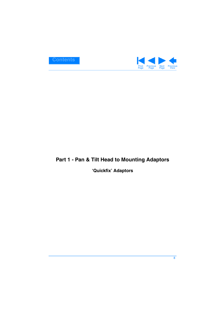<span id="page-7-2"></span>

# <span id="page-7-1"></span><span id="page-7-0"></span>**Part 1 - Pan & Tilt Head to Mounting Adaptors**

# **'Quickfix' Adaptors**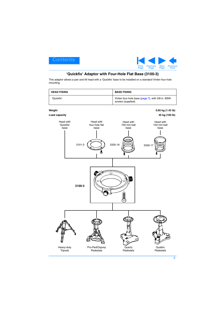

# **'Quickfix' Adaptor with Four-Hole Flat Base (3100-3)**

<span id="page-8-1"></span><span id="page-8-0"></span>This adaptor allows a pan and tilt head with a 'Quickfix' base to be installed on a standard Vinten four-hole mounting.

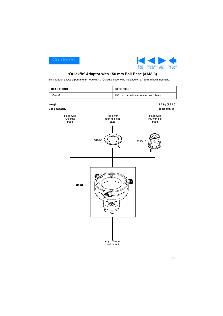

# **'Quickfix' Adaptor with 150 mm Ball Base (3143-3)**

<span id="page-9-1"></span><span id="page-9-0"></span>This adaptor allows a pan and tilt head with a 'Quickfix' base to be installed on a 150 mm bowl mounting.

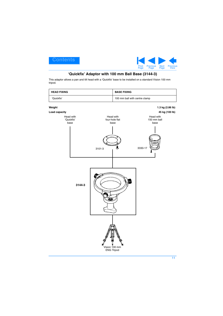

# **'Quickfix' Adaptor with 100 mm Ball Base (3144-3)**

<span id="page-10-1"></span><span id="page-10-0"></span>This adaptor allows a pan and tilt head with a 'Quickfix' base to be installed on a standard Vision 100 mm tripod.

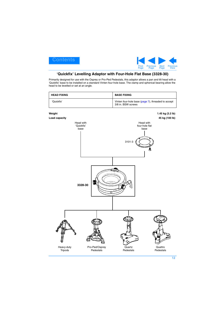

# <span id="page-11-1"></span>**'Quickfix' Levelling Adaptor with Four-Hole Flat Base (3328-30)**

<span id="page-11-0"></span>Primarily designed for use with the Osprey or Pro-Ped Pedestals, this adaptor allows a pan and tilt head with a 'Quickfix' base to be installed on a standard Vinten four-hole base. The clamp and spherical bearing allow the head to be levelled or set at an angle.

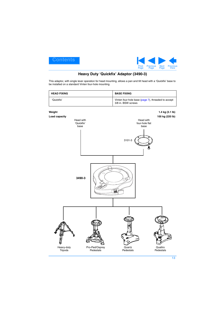

# **Heavy Duty 'Quickfix' Adaptor (3490-3)**

<span id="page-12-1"></span><span id="page-12-0"></span>This adaptor, with single lever operation for head mounting, allows a pan and tilt head with a 'Quickfix' base to be installed on a standard Vinten four-hole mounting.

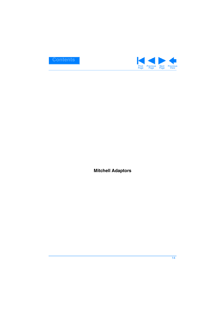<span id="page-13-1"></span>

<span id="page-13-0"></span>**Mitchell Adaptors**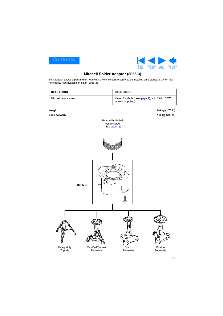<span id="page-14-1"></span>



# **Mitchell Spider Adaptor (3055-3)**

<span id="page-14-0"></span>This adaptor allows a pan and tilt head with a Mitchell centre screw to be installed on a standard Vinten fourhole base. Also available in black (3055-3B)

| <b>HEAD FIXING</b>    | <b>BASE FIXING</b>                                                     |
|-----------------------|------------------------------------------------------------------------|
| Mitchell centre screw | Vinten four-hole base (page 7), with 3/8 in. BSW<br>screws (supplied). |

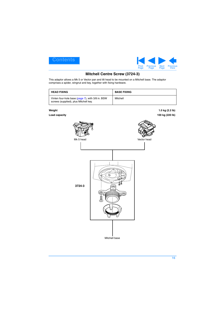<span id="page-15-1"></span>



# **Mitchell Centre Screw (3724-3)**

<span id="page-15-0"></span>This adaptor allows a Mk 5 or Vector pan and tilt head to be mounted on a Mitchell base. The adaptor comprises a spider, wingnut and key, together with fixing hardware.

| <b>HEAD FIXING</b>                                                                        | <b>BASE FIXING</b> |
|-------------------------------------------------------------------------------------------|--------------------|
| Vinten four-hole base (page 7), with 3/8 in. BSW<br>screws (supplied), plus Mitchell key. | Mitchell           |

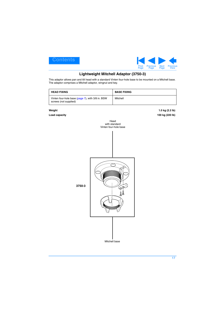<span id="page-16-1"></span>



# **Lightweight Mitchell Adaptor (3750-3)**

<span id="page-16-0"></span>This adaptor allows pan and tilt head with a standard Vinten four-hole base to be mounted on a Mitchell base. The adaptor comprises a Mitchell adaptor, wingnut and key.

| <b>HEAD FIXING</b>                                                        | <b>BASE FIXING</b> |
|---------------------------------------------------------------------------|--------------------|
| Vinten four-hole base (page 7), with 3/8 in. BSW<br>screws (not supplied) | Mitchell           |

**Weight 1.0 kg (2.2 lb) Load capacity 100 kg (220 lb)**



**17**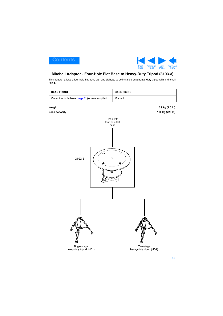

## <span id="page-17-1"></span><span id="page-17-0"></span>**Mitchell Adaptor - Four-Hole Flat Base to Heavy-Duty Tripod (3103-3)**

This adaptor allows a four-hole flat-base pan and tilt head to be installed on a heavy-duty tripod with a Mitchell fixing.

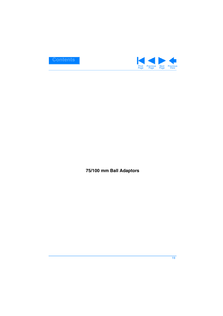<span id="page-18-1"></span>

<span id="page-18-0"></span>**75/100 mm Ball Adaptors**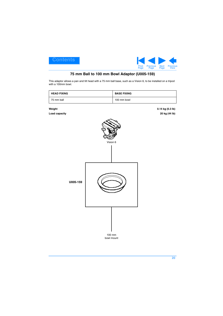

# **75 mm Ball to 100 mm Bowl Adaptor (U005-159)**

<span id="page-19-1"></span><span id="page-19-0"></span>This adaptor allows a pan and tilt head with a 75 mm ball base, such as a Vision 6, to be installed on a tripod with a 100mm bowl.

| <b>HEAD FIXING</b> | <b>BASE FIXING</b> |
|--------------------|--------------------|
| 75 mm ball         | 100 mm bowl        |

**Weight 0.14 kg (0.3 lb) Load capacity 20 kg (44 lb)**



bowl mount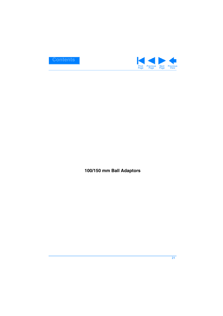<span id="page-20-1"></span>

<span id="page-20-0"></span>**100/150 mm Ball Adaptors**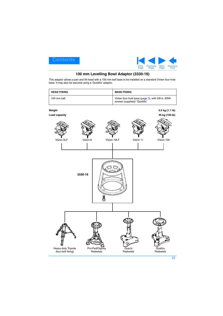

# **100 mm Levelling Bowl Adaptor (3330-16)**

<span id="page-21-1"></span><span id="page-21-0"></span>This adaptor allows a pan and tilt head with a 100 mm ball base to be installed on a standard Vinten four-hole base. It may also be secured using a 'Quickfix' adaptor.

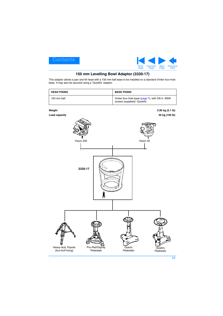

# **150 mm Levelling Bowl Adaptor (3330-17)**

<span id="page-22-1"></span><span id="page-22-0"></span>This adaptor allows a pan and tilt head with a 150 mm ball base to be installed on a standard Vinten four-hole base. It may also be secured using a 'Quickfix' adaptor.

| <b>HEAD FIXING</b> | <b>BASE FIXING</b>                                                                |
|--------------------|-----------------------------------------------------------------------------------|
| 150 mm ball        | Vinten four-hole base (page 7), with 3/8 in. BSW<br>screws (supplied)/ 'Quickfix' |

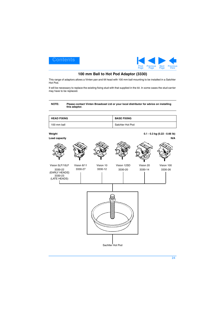

# **100 mm Ball to Hot Pod Adaptor (3330)**

<span id="page-23-1"></span><span id="page-23-0"></span>This range of adaptors allows a Vinten pan and tilt head with 100 mm ball mounting to be installed in a Satchler Hot Pod.

It will be necessary to replace the existing fixing stud with that supplied in the kit. In some cases the stud carrier may have to be replaced.

#### **NOTE: Please contact Vinten Broadcast Ltd or your local distributor for advice on installing this adaptor.**

| <b>HEAD FIXING</b> | <b>BASE FIXING</b> |
|--------------------|--------------------|
| 100 mm ball        | Satchler Hot Pod   |

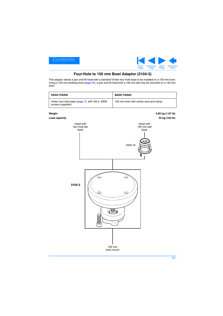

# **Four-Hole to 150 mm Bowl Adaptor (3104-3)**

<span id="page-24-1"></span><span id="page-24-0"></span>This adaptor allows a pan and tilt head with a standard Vinten four-hole base to be installed on a 150 mm bowl. Using a 100 mm levelling bowl [\(page 22](#page-21-0)), a pan and tilt head with a 100 mm ball may be mounted on a 150 mm bowl.

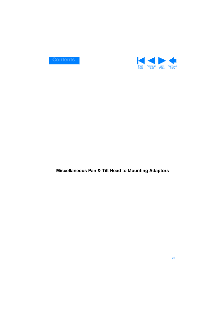<span id="page-25-1"></span>

# <span id="page-25-0"></span>**Miscellaneous Pan & Tilt Head to Mounting Adaptors**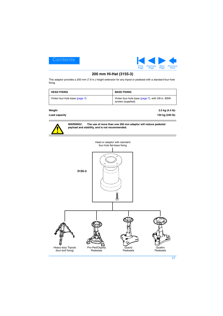

# **200 mm Hi-Hat (3155-3)**

<span id="page-26-1"></span><span id="page-26-0"></span>This adaptor provides a 200 mm (7.9 in.) height extension for any tripod or pedestal with a standard four-hole fixing.

| <b>HEAD FIXING</b>              | <b>BASE FIXING</b>                                                     |
|---------------------------------|------------------------------------------------------------------------|
| Vinten four-hole base (page 7). | Vinten four-hole base (page 7), with 3/8 in. BSW<br>screws (supplied). |

#### **Load capacity 150 kg (330 lb)**

**Weight 2.0 kg (4.4 lb)**



**WARNING!: The use of more than one 200 mm adaptor will reduce pedestal payload and stability, and is not recommended.**

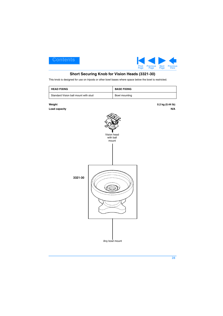

# **Short Securing Knob for Vision Heads (3321-30)**

<span id="page-27-1"></span><span id="page-27-0"></span>This knob is designed for use on tripods or other bowl bases where space below the bowl is restricted.

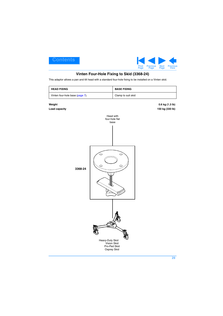

# **Vinten Four-Hole Fixing to Skid (3368-24)**

<span id="page-28-1"></span><span id="page-28-0"></span>This adaptor allows a pan and tilt head with a standard four-hole fixing to be installed on a Vinten skid.

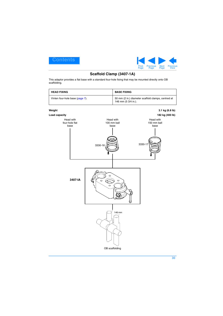<span id="page-29-1"></span>



# **Scaffold Clamp (3407-1A)**

<span id="page-29-0"></span>This adaptor provides a flat base with a standard four-hole fixing that may be mounted directly onto OB scaffolding.

| <b>HEAD FIXING</b>              | <b>BASE FIXING</b>  |                                                    |
|---------------------------------|---------------------|----------------------------------------------------|
| Vinten four-hole base (page 7). | 146 mm (5 3/4 in.). | 50 mm (2 in.) diameter scaffold clamps, centred at |
| Weight                          |                     | 3.1 kg (6.8 lb)                                    |
| Load capacity                   |                     | 182 kg (400 lb)                                    |
| Head with                       | Head with           | Head with                                          |

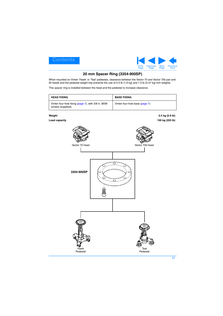

# **20 mm Spacer Ring (3354-900SP)**

<span id="page-30-1"></span><span id="page-30-0"></span>When mounted on Vinten 'Hawk' or 'Teal' pedestals, clearance between the Vector 70 and Vector 700 pan and tilt heads and the pedestal weight tray prevents the use of 5.5 lb (1.6 kg) and 1.0 lb (0.47 kg) trim weights.

This spacer ring is installed between the head and the pedestal to increase clearance.

| <b>HEAD FIXING</b>                                                       | <b>BASE FIXING</b>             |
|--------------------------------------------------------------------------|--------------------------------|
| Vinten four-hole fixing (page 7), with 3/8 in. BSW<br>screws (supplied). | Vinten four-hole base (page 7) |

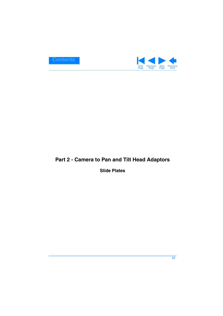<span id="page-31-2"></span>

# <span id="page-31-1"></span><span id="page-31-0"></span>**Part 2 - Camera to Pan and Tilt Head Adaptors**

# **Slide Plates**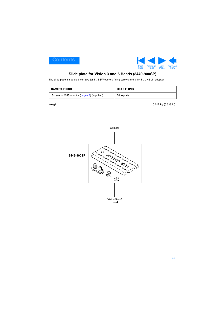

# **Slide plate for Vision 3 and 6 Heads (3449-900SP)**

<span id="page-32-1"></span><span id="page-32-0"></span>The slide plate is supplied with two 3/8 in. BSW camera fixing screws and a 1/4 in. VHS pin adaptor.

| <b>CAMERA FIXING</b>                       | <b>HEAD FIXING</b> |
|--------------------------------------------|--------------------|
| Screws or VHS adaptor (page 48) (supplied) | Slide plate        |

**Weight 0.012 kg (0.026 lb)**

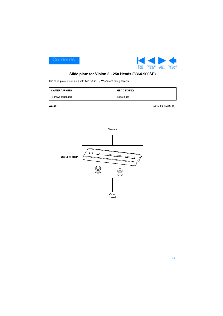

# **Slide plate for Vision 8 - 250 Heads (3364-900SP)**

<span id="page-33-1"></span><span id="page-33-0"></span>The slide plate is supplied with two 3/8 in. BSW camera fixing screws.

| <b>CAMERA FIXING</b> | <b>HEAD FIXING</b> |
|----------------------|--------------------|
| Screws (supplied)    | Slide plate        |

**Weight 0.012 kg (0.026 lb)**

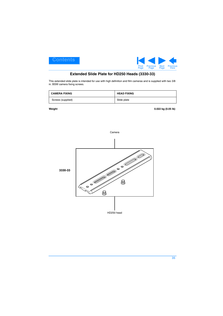<span id="page-34-1"></span>



# **Extended Slide Plate for HD250 Heads (3330-33)**

<span id="page-34-0"></span>This extended slide plate is intended for use with high definition and film cameras and is supplied with two 3/8 in. BSW camera fixing screws.

| <b>CAMERA FIXING</b> | <b>HEAD FIXING</b> |
|----------------------|--------------------|
| Screws (supplied)    | Slide plate        |

**Weight 0.022 kg (0.05 lb)**

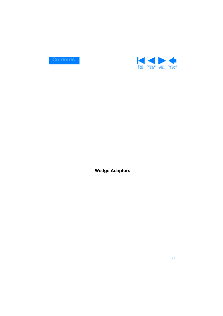<span id="page-35-1"></span>

<span id="page-35-0"></span>**Wedge Adaptors**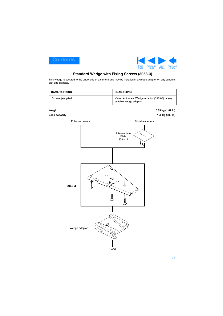

# **Standard Wedge with Fixing Screws (3053-3)**

<span id="page-36-1"></span><span id="page-36-0"></span>This wedge is secured to the underside of a camera and may be installed in a wedge adaptor on any suitable pan and tilt head.

| <b>CAMERA FIXING</b>    |                  | <b>HEAD FIXING</b>                                                                                                                                        |                                      |
|-------------------------|------------------|-----------------------------------------------------------------------------------------------------------------------------------------------------------|--------------------------------------|
| Screws (supplied)       |                  | Vinten Automatic Wedge Adaptor (3389-3) or any<br>suitable wedge adaptor                                                                                  |                                      |
| Weight<br>Load capacity |                  |                                                                                                                                                           | 0.85 kg (1.87 lb)<br>150 kg (330 lb) |
|                         | Full-size camera | Portable camera                                                                                                                                           |                                      |
|                         |                  | Intermediate<br>$\begin{smallmatrix} \downarrow\\ \downarrow\\ \downarrow\\ \downarrow\\ \downarrow\\ \downarrow\\ \end{smallmatrix}$<br>Plate<br>3384-11 |                                      |
|                         |                  |                                                                                                                                                           |                                      |
| 3053-3                  |                  | OCE PO                                                                                                                                                    |                                      |
| Wedge adaptor<br>Head   |                  |                                                                                                                                                           |                                      |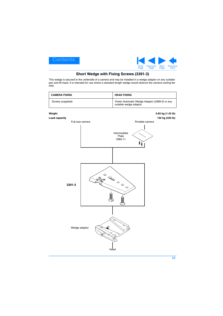

# **Short Wedge with Fixing Screws (3391-3)**

<span id="page-37-1"></span><span id="page-37-0"></span>This wedge is secured to the underside of a camera and may be installed in a wedge adaptor on any suitable pan and tilt head. It is intended for use where a standard length wedge would obstruct the camera cooling fan inlet.

| <b>CAMERA FIXING</b> | <b>HEAD FIXING</b>                                                       |
|----------------------|--------------------------------------------------------------------------|
| Screws (supplied)    | Vinten Automatic Wedge Adaptor (3389-3) or any<br>suitable wedge adaptor |

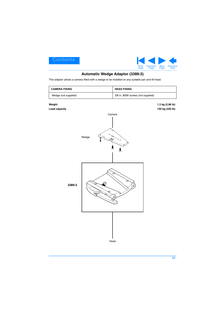

# **Automatic Wedge Adaptor (3389-3)**

<span id="page-38-1"></span><span id="page-38-0"></span>This adaptor allows a camera fitted with a wedge to be installed on any suitable pan and tilt head.

| <b>CAMERA FIXING</b>    |                                   | <b>HEAD FIXING</b> |                                     |
|-------------------------|-----------------------------------|--------------------|-------------------------------------|
| Wedge (not supplied)    | 3/8 in. BSW screws (not supplied) |                    |                                     |
| Weight<br>Load capacity |                                   | Camera             | 1.3 kg (2.86 lb)<br>150 kg (330 lb) |
|                         | $\circ$<br>Wedge                  | ese<br>ese         |                                     |
| 3389-3                  |                                   | Ø                  |                                     |
|                         |                                   | Head               |                                     |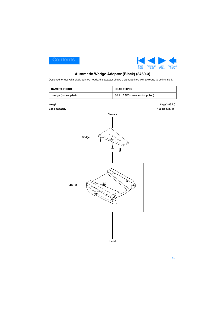

# **Automatic Wedge Adaptor (Black) (3460-3)**

<span id="page-39-1"></span><span id="page-39-0"></span>Designed for use with black-painted heads, this adaptor allows a camera fitted with a wedge to be installed.

| <b>CAMERA FIXING</b>    |                                   | <b>HEAD FIXING</b> |                                     |
|-------------------------|-----------------------------------|--------------------|-------------------------------------|
| Wedge (not supplied)    | 3/8 in. BSW screws (not supplied) |                    |                                     |
| Weight<br>Load capacity |                                   | Camera             | 1.3 kg (2.86 lb)<br>150 kg (330 lb) |
|                         | Wedge                             | 160000             |                                     |
| 3460-3                  |                                   | O<br>C.            |                                     |
|                         |                                   | Head               |                                     |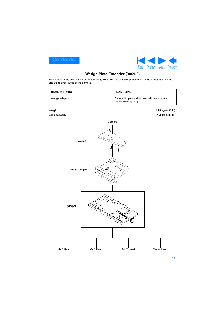<span id="page-40-1"></span>



## **Wedge Plate Extender (3069-3)**

<span id="page-40-0"></span>This adaptor may be installed on Vinten Mk 3, Mk 5, Mk 7 and Vector pan and tilt heads to increase the foreand aft balance range of the camera.

| <b>CAMERA FIXING</b> | <b>HEAD FIXING</b>                                                   |
|----------------------|----------------------------------------------------------------------|
| Wedge adaptor        | Secured to pan and tilt head with appropriate<br>hardware (supplied) |

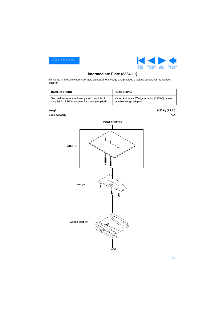

# **Intermediate Plate (3384-11)**

<span id="page-41-1"></span><span id="page-41-0"></span>This plate is fitted between a portable camera and a wedge and provides a locking surface for the wedge adaptor.

| <b>CAMERA FIXING</b>                           | <b>HEAD FIXING</b>                             |
|------------------------------------------------|------------------------------------------------|
| Secured to camera with wedge and two 1 1/4 in. | Vinten Automatic Wedge Adaptor (3389-3) or any |
| long 3/8 in. BSW countersunk screws (supplied) | suitable wedge adaptor                         |

**Weight 0.55 kg (1.2 lb)**

#### **Load capacity** N/A



### **42**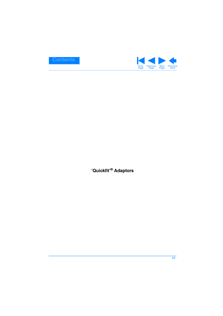<span id="page-42-1"></span>

<span id="page-42-0"></span>**'Quickfit'® Adaptors**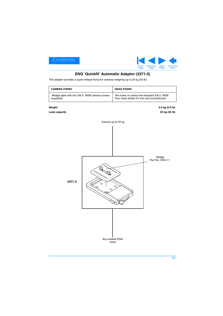

# **ENG 'Quickfit' Automatic Adaptor (3371-3)**

<span id="page-43-1"></span><span id="page-43-0"></span>This adaptor provides a quick-release fixing for cameras weighing up to 25 kg (55 lb).

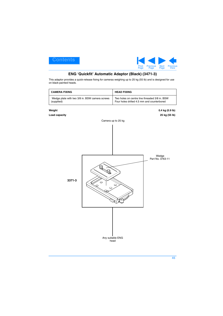

# **ENG 'Quickfit' Automatic Adaptor (Black) (3471-3)**

<span id="page-44-1"></span><span id="page-44-0"></span>This adaptor provides a quick-release fixing for cameras weighing up to 25 kg (55 lb) and is designed for use on black-painted heads.

| <b>CAMERA FIXING</b>                                         |         | <b>HEAD FIXING</b>                                                                          |                                  |
|--------------------------------------------------------------|---------|---------------------------------------------------------------------------------------------|----------------------------------|
| Wedge plate with two 3/8 in. BSW camera screws<br>(supplied) |         | Two holes on centre line threaded 3/8 in. BSW<br>Four holes drilled 4.5 mm and counterbored |                                  |
| Weight<br>Load capacity                                      |         |                                                                                             | 0.4 kg (0.9 lb)<br>25 kg (55 lb) |
|                                                              |         | Camera up to 25 kg                                                                          |                                  |
|                                                              |         |                                                                                             |                                  |
|                                                              |         |                                                                                             | Wedge<br>Part No. 3763-11        |
| 3371-3                                                       | $\circ$ |                                                                                             |                                  |
|                                                              |         | Any suitable ENG<br>head                                                                    |                                  |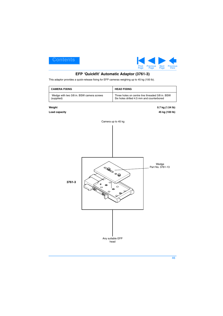

# **EFP 'Quickfit' Automatic Adaptor (3761-3)**

<span id="page-45-1"></span><span id="page-45-0"></span>This adaptor provides a quick-release fixing for EFP cameras weighing up to 45 kg (100 lb).

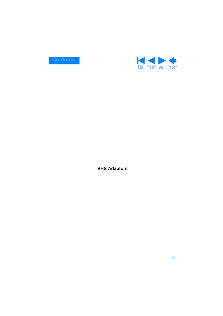<span id="page-46-1"></span>

<span id="page-46-0"></span>**VHS Adaptors**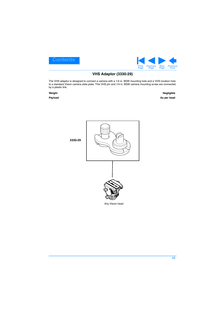<span id="page-47-1"></span>



# **VHS Adaptor (3330-29)**

<span id="page-47-0"></span>The VHS adaptor is designed to connect a camera with a 1/4 in. BSW mounting hole and a VHS location hole to a standard Vision camera slide plate. THe VHS pin and 1/4 in. BSW camera mounting screw are connected by a plastic link.

**Weight Negligible Payload As per head**



**48**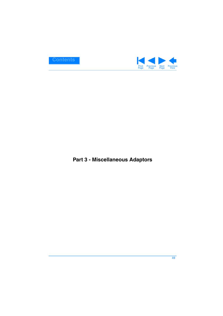<span id="page-48-1"></span>

# <span id="page-48-0"></span>**Part 3 - Miscellaneous Adaptors**